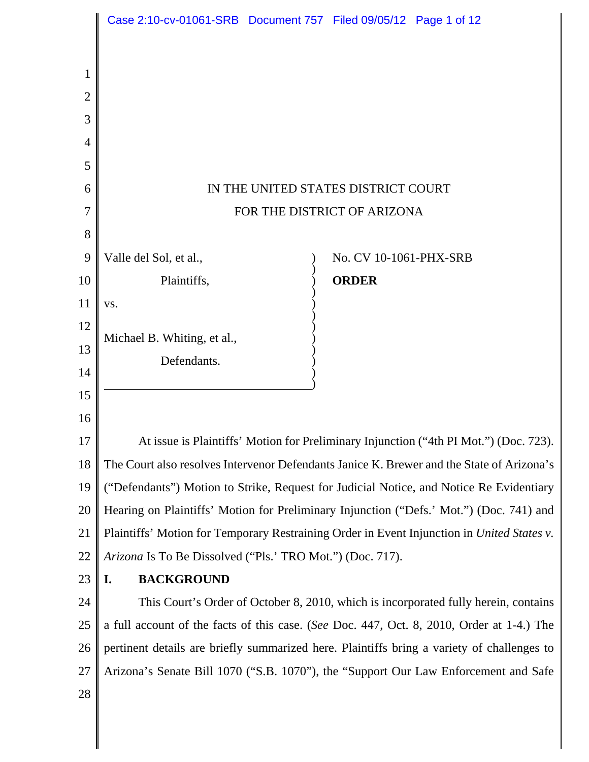|                | Case 2:10-cv-01061-SRB Document 757 Filed 09/05/12 Page 1 of 12                            |  |                        |  |
|----------------|--------------------------------------------------------------------------------------------|--|------------------------|--|
|                |                                                                                            |  |                        |  |
| 1              |                                                                                            |  |                        |  |
| $\overline{2}$ |                                                                                            |  |                        |  |
| 3              |                                                                                            |  |                        |  |
| 4              |                                                                                            |  |                        |  |
| 5              |                                                                                            |  |                        |  |
| 6              | IN THE UNITED STATES DISTRICT COURT                                                        |  |                        |  |
| 7              | FOR THE DISTRICT OF ARIZONA                                                                |  |                        |  |
| 8              |                                                                                            |  |                        |  |
| 9              | Valle del Sol, et al.,                                                                     |  | No. CV 10-1061-PHX-SRB |  |
| 10             | Plaintiffs,                                                                                |  | <b>ORDER</b>           |  |
| 11             | VS.                                                                                        |  |                        |  |
| 12             | Michael B. Whiting, et al.,                                                                |  |                        |  |
| 13             | Defendants.                                                                                |  |                        |  |
| 14             |                                                                                            |  |                        |  |
| 15             |                                                                                            |  |                        |  |
| 16             |                                                                                            |  |                        |  |
| 17             | At issue is Plaintiffs' Motion for Preliminary Injunction ("4th PI Mot.") (Doc. 723).      |  |                        |  |
| 18             | The Court also resolves Intervenor Defendants Janice K. Brewer and the State of Arizona's  |  |                        |  |
| 19             | ("Defendants") Motion to Strike, Request for Judicial Notice, and Notice Re Evidentiary    |  |                        |  |
| 20             | Hearing on Plaintiffs' Motion for Preliminary Injunction ("Defs.' Mot.") (Doc. 741) and    |  |                        |  |
| 21             | Plaintiffs' Motion for Temporary Restraining Order in Event Injunction in United States v. |  |                        |  |
| 22             | Arizona Is To Be Dissolved ("Pls.' TRO Mot.") (Doc. 717).                                  |  |                        |  |
| 23             | <b>BACKGROUND</b><br>I.                                                                    |  |                        |  |
| 24             | This Court's Order of October 8, 2010, which is incorporated fully herein, contains        |  |                        |  |
| 25             | a full account of the facts of this case. (See Doc. 447, Oct. 8, 2010, Order at 1-4.) The  |  |                        |  |
| 26             | pertinent details are briefly summarized here. Plaintiffs bring a variety of challenges to |  |                        |  |
| 27             | Arizona's Senate Bill 1070 ("S.B. 1070"), the "Support Our Law Enforcement and Safe        |  |                        |  |
| 28             |                                                                                            |  |                        |  |
|                |                                                                                            |  |                        |  |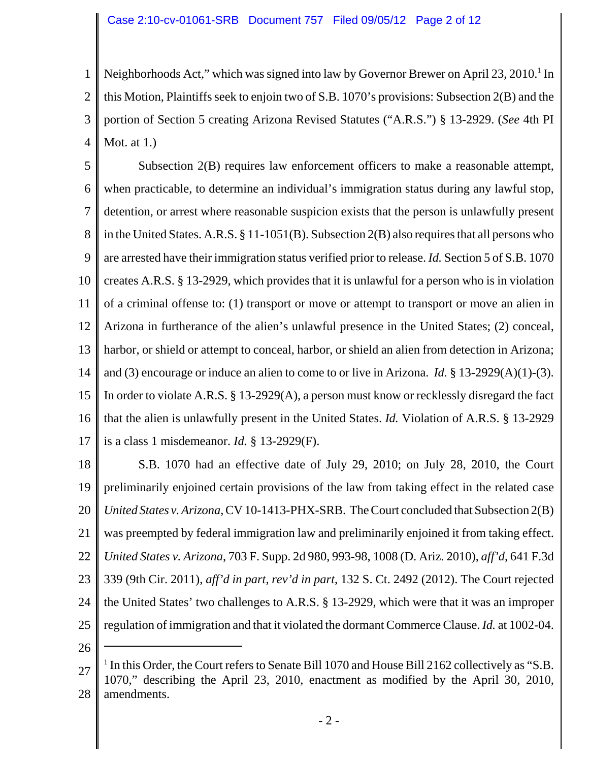1 2 3 4 Neighborhoods Act," which was signed into law by Governor Brewer on April 23, 2010.<sup>1</sup> In this Motion, Plaintiffs seek to enjoin two of S.B. 1070's provisions: Subsection 2(B) and the portion of Section 5 creating Arizona Revised Statutes ("A.R.S.") § 13-2929. (*See* 4th PI Mot. at 1.)

5 6 7 8 9 10 11 12 13 14 15 16 17 Subsection 2(B) requires law enforcement officers to make a reasonable attempt, when practicable, to determine an individual's immigration status during any lawful stop, detention, or arrest where reasonable suspicion exists that the person is unlawfully present in the United States. A.R.S. § 11-1051(B). Subsection 2(B) also requires that all persons who are arrested have their immigration status verified prior to release. *Id.* Section 5 of S.B. 1070 creates A.R.S. § 13-2929, which provides that it is unlawful for a person who is in violation of a criminal offense to: (1) transport or move or attempt to transport or move an alien in Arizona in furtherance of the alien's unlawful presence in the United States; (2) conceal, harbor, or shield or attempt to conceal, harbor, or shield an alien from detection in Arizona; and (3) encourage or induce an alien to come to or live in Arizona. *Id.* § 13-2929(A)(1)-(3). In order to violate A.R.S. § 13-2929(A), a person must know or recklessly disregard the fact that the alien is unlawfully present in the United States. *Id.* Violation of A.R.S. § 13-2929 is a class 1 misdemeanor. *Id.* § 13-2929(F).

18 19 20 21 22 23 24 25 S.B. 1070 had an effective date of July 29, 2010; on July 28, 2010, the Court preliminarily enjoined certain provisions of the law from taking effect in the related case *United States v. Arizona*, CV 10-1413-PHX-SRB. The Court concluded that Subsection 2(B) was preempted by federal immigration law and preliminarily enjoined it from taking effect. *United States v. Arizona*, 703 F. Supp. 2d 980, 993-98, 1008 (D. Ariz. 2010), *aff'd*, 641 F.3d 339 (9th Cir. 2011), *aff'd in part, rev'd in part*, 132 S. Ct. 2492 (2012). The Court rejected the United States' two challenges to A.R.S. § 13-2929, which were that it was an improper regulation of immigration and that it violated the dormant Commerce Clause. *Id.* at 1002-04.

26

<sup>27</sup> 28 <sup>1</sup> In this Order, the Court refers to Senate Bill 1070 and House Bill 2162 collectively as "S.B. 1070," describing the April 23, 2010, enactment as modified by the April 30, 2010, amendments.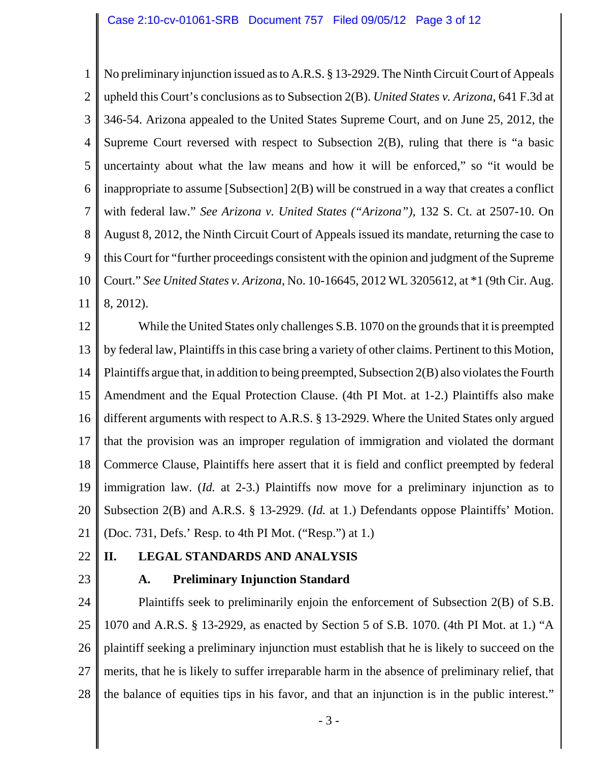1 2 3 4 5 6 7 8 9 10 11 No preliminary injunction issued as to A.R.S. § 13-2929. The Ninth Circuit Court of Appeals upheld this Court's conclusions as to Subsection 2(B). *United States v. Arizona*, 641 F.3d at 346-54. Arizona appealed to the United States Supreme Court, and on June 25, 2012, the Supreme Court reversed with respect to Subsection 2(B), ruling that there is "a basic uncertainty about what the law means and how it will be enforced," so "it would be inappropriate to assume [Subsection] 2(B) will be construed in a way that creates a conflict with federal law." *See Arizona v. United States ("Arizona")*, 132 S. Ct. at 2507-10. On August 8, 2012, the Ninth Circuit Court of Appeals issued its mandate, returning the case to this Court for "further proceedings consistent with the opinion and judgment of the Supreme Court." *See United States v. Arizona*, No. 10-16645, 2012 WL 3205612, at \*1 (9th Cir. Aug. 8, 2012).

12 13 14 15 16 17 18 19 20 21 While the United States only challenges S.B. 1070 on the grounds that it is preempted by federal law, Plaintiffs in this case bring a variety of other claims. Pertinent to this Motion, Plaintiffs argue that, in addition to being preempted, Subsection 2(B) also violates the Fourth Amendment and the Equal Protection Clause. (4th PI Mot. at 1-2.) Plaintiffs also make different arguments with respect to A.R.S. § 13-2929. Where the United States only argued that the provision was an improper regulation of immigration and violated the dormant Commerce Clause, Plaintiffs here assert that it is field and conflict preempted by federal immigration law. (*Id.* at 2-3.) Plaintiffs now move for a preliminary injunction as to Subsection 2(B) and A.R.S. § 13-2929. (*Id.* at 1.) Defendants oppose Plaintiffs' Motion. (Doc. 731, Defs.' Resp. to 4th PI Mot. ("Resp.") at 1.)

22 23

# **II. LEGAL STANDARDS AND ANALYSIS**

**A. Preliminary Injunction Standard**

24 25 26 27 28 Plaintiffs seek to preliminarily enjoin the enforcement of Subsection 2(B) of S.B. 1070 and A.R.S. § 13-2929, as enacted by Section 5 of S.B. 1070. (4th PI Mot. at 1.) "A plaintiff seeking a preliminary injunction must establish that he is likely to succeed on the merits, that he is likely to suffer irreparable harm in the absence of preliminary relief, that the balance of equities tips in his favor, and that an injunction is in the public interest."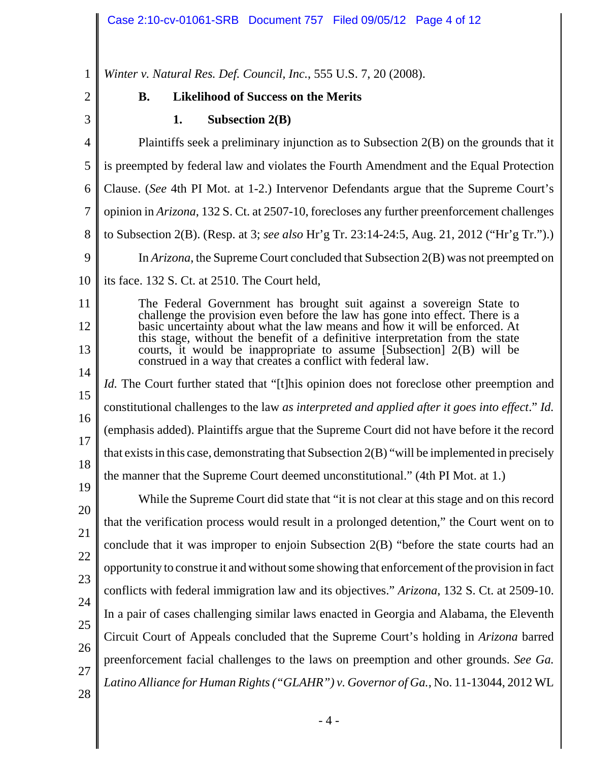1 2 3 4 5 6 7 8 9 10 11 12 13 14 15 16 17 18 19 20 21 22 23 24 25 26 27 28 *Winter v. Natural Res. Def. Council, Inc.*, 555 U.S. 7, 20 (2008). **B. Likelihood of Success on the Merits 1. Subsection 2(B)** Plaintiffs seek a preliminary injunction as to Subsection 2(B) on the grounds that it is preempted by federal law and violates the Fourth Amendment and the Equal Protection Clause. (*See* 4th PI Mot. at 1-2.) Intervenor Defendants argue that the Supreme Court's opinion in *Arizona*, 132 S. Ct. at 2507-10, forecloses any further preenforcement challenges to Subsection 2(B). (Resp. at 3; *see also* Hr'g Tr. 23:14-24:5, Aug. 21, 2012 ("Hr'g Tr.").) In *Arizona*, the Supreme Court concluded that Subsection 2(B) was not preempted on its face. 132 S. Ct. at 2510. The Court held, The Federal Government has brought suit against a sovereign State to challenge the provision even before the law has gone into effect. There is a basic uncertainty about what the law means and how it will be enforced. At this stage, without the benefit of a definitive interpretation from the state courts, it would be inappropriate to assume [Subsection] 2(B) will be construed in a way that creates a conflict with federal law. *Id.* The Court further stated that "[t]his opinion does not foreclose other preemption and constitutional challenges to the law *as interpreted and applied after it goes into effect*." *Id.* (emphasis added). Plaintiffs argue that the Supreme Court did not have before it the record that exists in this case, demonstrating that Subsection 2(B) "will be implemented in precisely the manner that the Supreme Court deemed unconstitutional." (4th PI Mot. at 1.) While the Supreme Court did state that "it is not clear at this stage and on this record that the verification process would result in a prolonged detention," the Court went on to conclude that it was improper to enjoin Subsection 2(B) "before the state courts had an opportunity to construe it and without some showing that enforcement of the provision in fact conflicts with federal immigration law and its objectives." *Arizona*, 132 S. Ct. at 2509-10. In a pair of cases challenging similar laws enacted in Georgia and Alabama, the Eleventh Circuit Court of Appeals concluded that the Supreme Court's holding in *Arizona* barred preenforcement facial challenges to the laws on preemption and other grounds. *See Ga. Latino Alliance for Human Rights("GLAHR") v. Governor of Ga.*, No. 11-13044, 2012 WL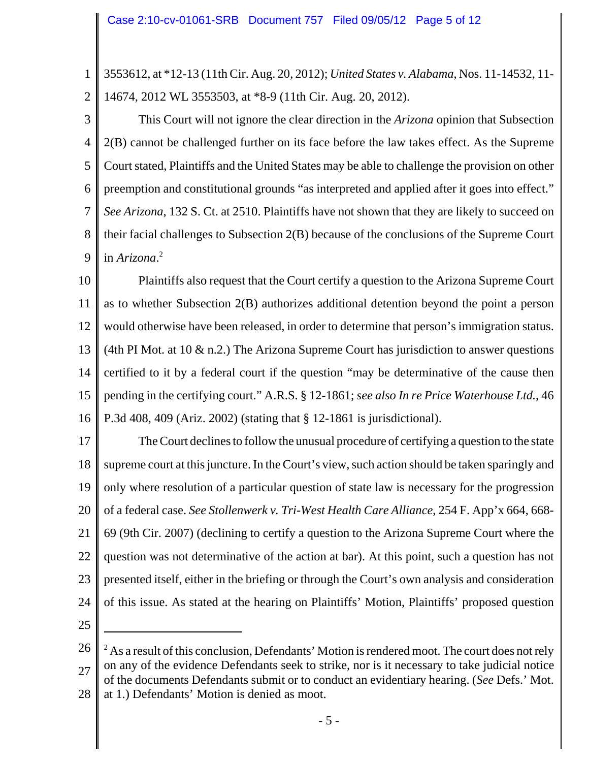1 2 3553612, at \*12-13 (11th Cir. Aug. 20, 2012); *United States v. Alabama*, Nos. 11-14532, 11- 14674, 2012 WL 3553503, at \*8-9 (11th Cir. Aug. 20, 2012).

3 4 5 6 7 8 9 This Court will not ignore the clear direction in the *Arizona* opinion that Subsection 2(B) cannot be challenged further on its face before the law takes effect. As the Supreme Court stated, Plaintiffs and the United States may be able to challenge the provision on other preemption and constitutional grounds "as interpreted and applied after it goes into effect." *See Arizona*, 132 S. Ct. at 2510. Plaintiffs have not shown that they are likely to succeed on their facial challenges to Subsection 2(B) because of the conclusions of the Supreme Court in *Arizona*. 2

10 11 12 13 14 15 16 Plaintiffs also request that the Court certify a question to the Arizona Supreme Court as to whether Subsection 2(B) authorizes additional detention beyond the point a person would otherwise have been released, in order to determine that person's immigration status. (4th PI Mot. at 10  $\&$  n.2.) The Arizona Supreme Court has jurisdiction to answer questions certified to it by a federal court if the question "may be determinative of the cause then pending in the certifying court." A.R.S. § 12-1861; *see also In re Price Waterhouse Ltd.*, 46 P.3d 408, 409 (Ariz. 2002) (stating that § 12-1861 is jurisdictional).

17 18 19 20 21 22 23 24 The Court declines to follow the unusual procedure of certifying a question to the state supreme court at this juncture. In the Court's view, such action should be taken sparingly and only where resolution of a particular question of state law is necessary for the progression of a federal case. *See Stollenwerk v. Tri-West Health Care Alliance*, 254 F. App'x 664, 668- 69 (9th Cir. 2007) (declining to certify a question to the Arizona Supreme Court where the question was not determinative of the action at bar). At this point, such a question has not presented itself, either in the briefing or through the Court's own analysis and consideration of this issue. As stated at the hearing on Plaintiffs' Motion, Plaintiffs' proposed question

25

<sup>26</sup> 27 28  $2^2$  As a result of this conclusion, Defendants' Motion is rendered moot. The court does not rely on any of the evidence Defendants seek to strike, nor is it necessary to take judicial notice of the documents Defendants submit or to conduct an evidentiary hearing. (*See* Defs.' Mot. at 1.) Defendants' Motion is denied as moot.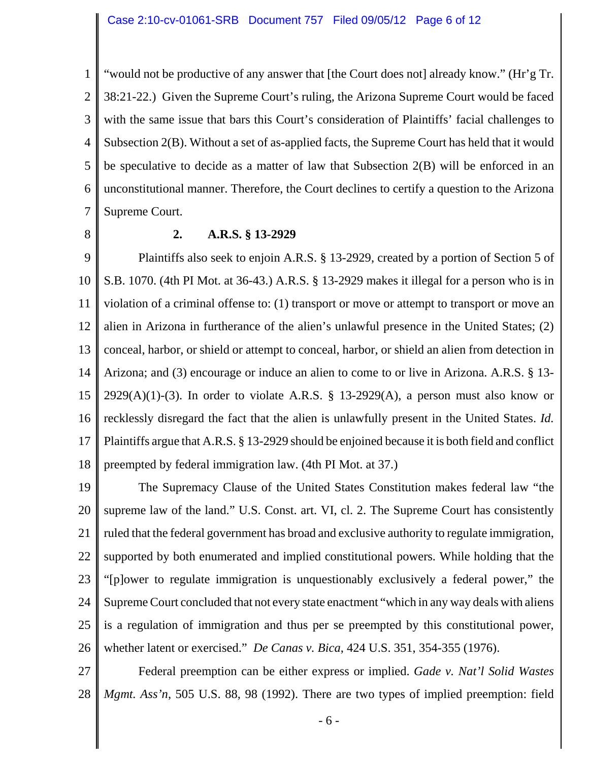1 2 3 4 5 6 7 "would not be productive of any answer that [the Court does not] already know." (Hr'g Tr. 38:21-22.) Given the Supreme Court's ruling, the Arizona Supreme Court would be faced with the same issue that bars this Court's consideration of Plaintiffs' facial challenges to Subsection 2(B). Without a set of as-applied facts, the Supreme Court has held that it would be speculative to decide as a matter of law that Subsection 2(B) will be enforced in an unconstitutional manner. Therefore, the Court declines to certify a question to the Arizona Supreme Court.

8

#### **2. A.R.S. § 13-2929**

9 10 11 12 13 14 15 16 17 18 Plaintiffs also seek to enjoin A.R.S. § 13-2929, created by a portion of Section 5 of S.B. 1070. (4th PI Mot. at 36-43.) A.R.S. § 13-2929 makes it illegal for a person who is in violation of a criminal offense to: (1) transport or move or attempt to transport or move an alien in Arizona in furtherance of the alien's unlawful presence in the United States; (2) conceal, harbor, or shield or attempt to conceal, harbor, or shield an alien from detection in Arizona; and (3) encourage or induce an alien to come to or live in Arizona. A.R.S. § 13-  $2929(A)(1)-(3)$ . In order to violate A.R.S. § 13-2929(A), a person must also know or recklessly disregard the fact that the alien is unlawfully present in the United States. *Id.* Plaintiffs argue that A.R.S. § 13-2929 should be enjoined because it is both field and conflict preempted by federal immigration law. (4th PI Mot. at 37.)

19 20 21 22 23 24 25 26 The Supremacy Clause of the United States Constitution makes federal law "the supreme law of the land." U.S. Const. art. VI, cl. 2. The Supreme Court has consistently ruled that the federal government has broad and exclusive authority to regulate immigration, supported by both enumerated and implied constitutional powers. While holding that the "[p]ower to regulate immigration is unquestionably exclusively a federal power," the Supreme Court concluded that not every state enactment "which in any way deals with aliens is a regulation of immigration and thus per se preempted by this constitutional power, whether latent or exercised." *De Canas v. Bica*, 424 U.S. 351, 354-355 (1976).

27 28 Federal preemption can be either express or implied. *Gade v. Nat'l Solid Wastes Mgmt. Ass'n*, 505 U.S. 88, 98 (1992). There are two types of implied preemption: field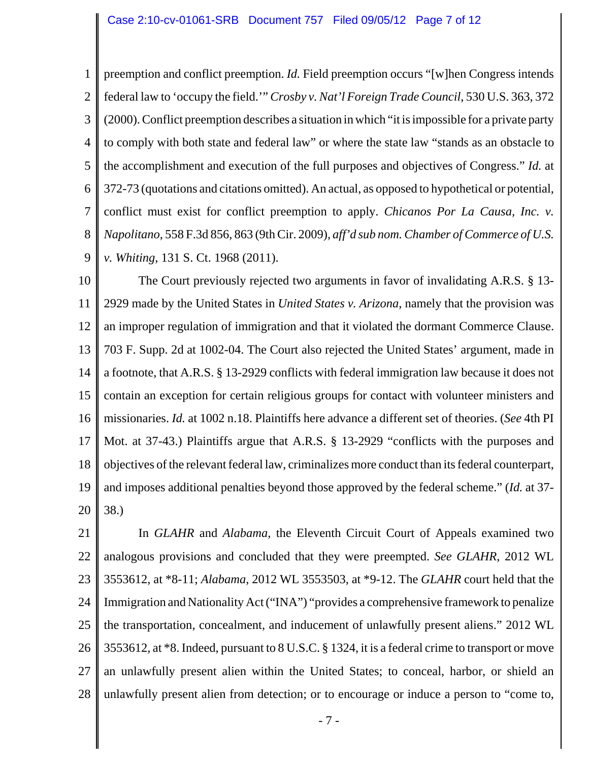1 2 3 4 5 6 7 8 9 preemption and conflict preemption. *Id.* Field preemption occurs "[w]hen Congress intends federal law to 'occupy the field.'" *Crosby v. Nat'l Foreign Trade Council*, 530 U.S. 363, 372 (2000). Conflict preemption describes a situation in which "it is impossible for a private party to comply with both state and federal law" or where the state law "stands as an obstacle to the accomplishment and execution of the full purposes and objectives of Congress." *Id.* at 372-73 (quotations and citations omitted). An actual, as opposed to hypothetical or potential, conflict must exist for conflict preemption to apply. *Chicanos Por La Causa, Inc. v. Napolitano*, 558 F.3d 856, 863 (9th Cir. 2009), *aff'd sub nom.Chamber of Commerce of U.S. v. Whiting*, 131 S. Ct. 1968 (2011).

10 11 12 13 14 15 16 17 18 19 20 The Court previously rejected two arguments in favor of invalidating A.R.S. § 13- 2929 made by the United States in *United States v. Arizona*, namely that the provision was an improper regulation of immigration and that it violated the dormant Commerce Clause. 703 F. Supp. 2d at 1002-04. The Court also rejected the United States' argument, made in a footnote, that A.R.S. § 13-2929 conflicts with federal immigration law because it does not contain an exception for certain religious groups for contact with volunteer ministers and missionaries. *Id.* at 1002 n.18. Plaintiffs here advance a different set of theories. (*See* 4th PI Mot. at 37-43.) Plaintiffs argue that A.R.S. § 13-2929 "conflicts with the purposes and objectives of the relevant federal law, criminalizes more conduct than its federal counterpart, and imposes additional penalties beyond those approved by the federal scheme." (*Id.* at 37- 38.)

21 22 23 24 25 26 27 28 In *GLAHR* and *Alabama*, the Eleventh Circuit Court of Appeals examined two analogous provisions and concluded that they were preempted. *See GLAHR*, 2012 WL 3553612, at \*8-11; *Alabama*, 2012 WL 3553503, at \*9-12. The *GLAHR* court held that the Immigration and Nationality Act ("INA") "provides a comprehensive framework to penalize the transportation, concealment, and inducement of unlawfully present aliens." 2012 WL 3553612, at \*8. Indeed, pursuant to 8 U.S.C. § 1324, it is a federal crime to transport or move an unlawfully present alien within the United States; to conceal, harbor, or shield an unlawfully present alien from detection; or to encourage or induce a person to "come to,

- 7 -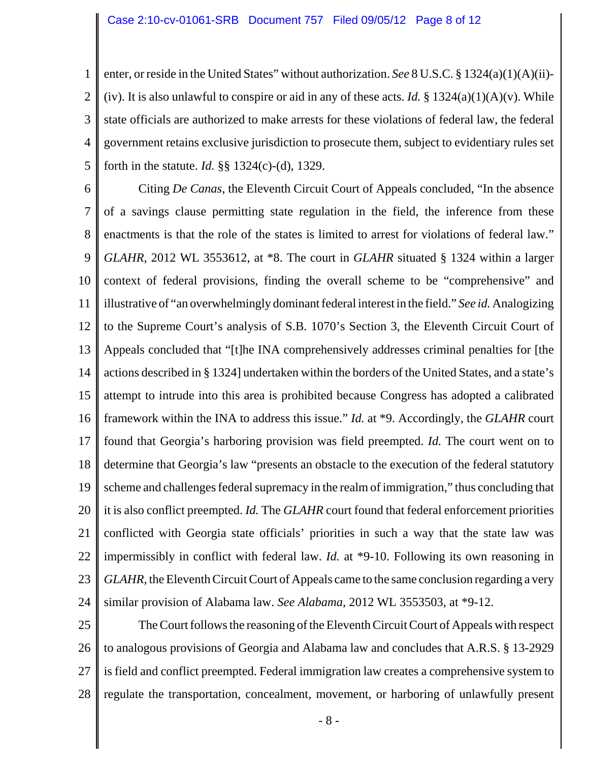1 2 3 4 5 enter, or reside in the United States" without authorization. *See* 8 U.S.C. § 1324(a)(1)(A)(ii)- (iv). It is also unlawful to conspire or aid in any of these acts. *Id.* § 1324(a)(1)(A)(v). While state officials are authorized to make arrests for these violations of federal law, the federal government retains exclusive jurisdiction to prosecute them, subject to evidentiary rules set forth in the statute. *Id.* §§ 1324(c)-(d), 1329.

6 7 8 9 10 11 12 13 14 15 16 17 18 19 20 21 22 23 24 Citing *De Canas*, the Eleventh Circuit Court of Appeals concluded, "In the absence of a savings clause permitting state regulation in the field, the inference from these enactments is that the role of the states is limited to arrest for violations of federal law." *GLAHR*, 2012 WL 3553612, at \*8. The court in *GLAHR* situated § 1324 within a larger context of federal provisions, finding the overall scheme to be "comprehensive" and illustrative of "an overwhelmingly dominant federal interest in the field." *See id.* Analogizing to the Supreme Court's analysis of S.B. 1070's Section 3, the Eleventh Circuit Court of Appeals concluded that "[t]he INA comprehensively addresses criminal penalties for [the actions described in § 1324] undertaken within the borders of the United States, and a state's attempt to intrude into this area is prohibited because Congress has adopted a calibrated framework within the INA to address this issue." *Id.* at \*9. Accordingly, the *GLAHR* court found that Georgia's harboring provision was field preempted. *Id.* The court went on to determine that Georgia's law "presents an obstacle to the execution of the federal statutory scheme and challenges federal supremacy in the realm of immigration," thus concluding that it is also conflict preempted. *Id.* The *GLAHR* court found that federal enforcement priorities conflicted with Georgia state officials' priorities in such a way that the state law was impermissibly in conflict with federal law. *Id.* at \*9-10. Following its own reasoning in *GLAHR*, the Eleventh Circuit Court of Appeals came to the same conclusion regarding a very similar provision of Alabama law. *See Alabama*, 2012 WL 3553503, at \*9-12.

25 26 27 28 The Court follows the reasoning of the Eleventh Circuit Court of Appeals with respect to analogous provisions of Georgia and Alabama law and concludes that A.R.S. § 13-2929 is field and conflict preempted. Federal immigration law creates a comprehensive system to regulate the transportation, concealment, movement, or harboring of unlawfully present

- 8 -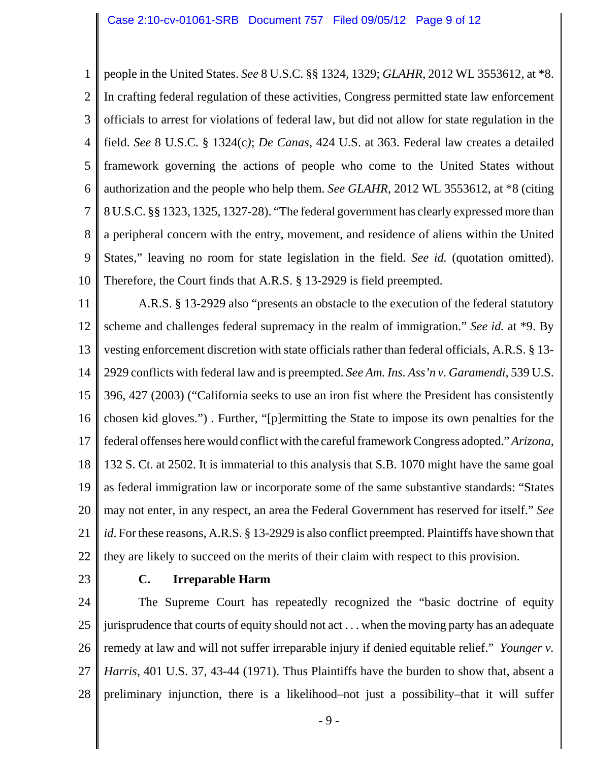1 2 3 4 5 6 7 8 9 10 people in the United States. *See* 8 U.S.C. §§ 1324, 1329; *GLAHR*, 2012 WL 3553612, at \*8. In crafting federal regulation of these activities, Congress permitted state law enforcement officials to arrest for violations of federal law, but did not allow for state regulation in the field. *See* 8 U.S.C. § 1324(c*)*; *De Canas*, 424 U.S. at 363. Federal law creates a detailed framework governing the actions of people who come to the United States without authorization and the people who help them. *See GLAHR*, 2012 WL 3553612, at \*8 (citing 8 U.S.C. §§ 1323, 1325, 1327-28). "The federal government has clearly expressed more than a peripheral concern with the entry, movement, and residence of aliens within the United States," leaving no room for state legislation in the field. *See id.* (quotation omitted). Therefore, the Court finds that A.R.S. § 13-2929 is field preempted.

11 12 13 14 15 16 17 18 19 20 21 22 A.R.S. § 13-2929 also "presents an obstacle to the execution of the federal statutory scheme and challenges federal supremacy in the realm of immigration." *See id.* at \*9. By vesting enforcement discretion with state officials rather than federal officials, A.R.S. § 13- 2929 conflicts with federal law and is preempted. *See Am. Ins. Ass'n v. Garamendi*, 539 U.S. 396, 427 (2003) ("California seeks to use an iron fist where the President has consistently chosen kid gloves.") *.* Further, "[p]ermitting the State to impose its own penalties for the federal offenses here would conflict with the careful framework Congress adopted." *Arizona*, 132 S. Ct. at 2502. It is immaterial to this analysis that S.B. 1070 might have the same goal as federal immigration law or incorporate some of the same substantive standards: "States may not enter, in any respect, an area the Federal Government has reserved for itself." *See id*. For these reasons, A.R.S. § 13-2929 is also conflict preempted. Plaintiffs have shown that they are likely to succeed on the merits of their claim with respect to this provision.

23

## **C. Irreparable Harm**

24 25 26 27 28 The Supreme Court has repeatedly recognized the "basic doctrine of equity jurisprudence that courts of equity should not act . . . when the moving party has an adequate remedy at law and will not suffer irreparable injury if denied equitable relief." *Younger v. Harris*, 401 U.S. 37, 43-44 (1971). Thus Plaintiffs have the burden to show that, absent a preliminary injunction, there is a likelihood–not just a possibility–that it will suffer

- 9 -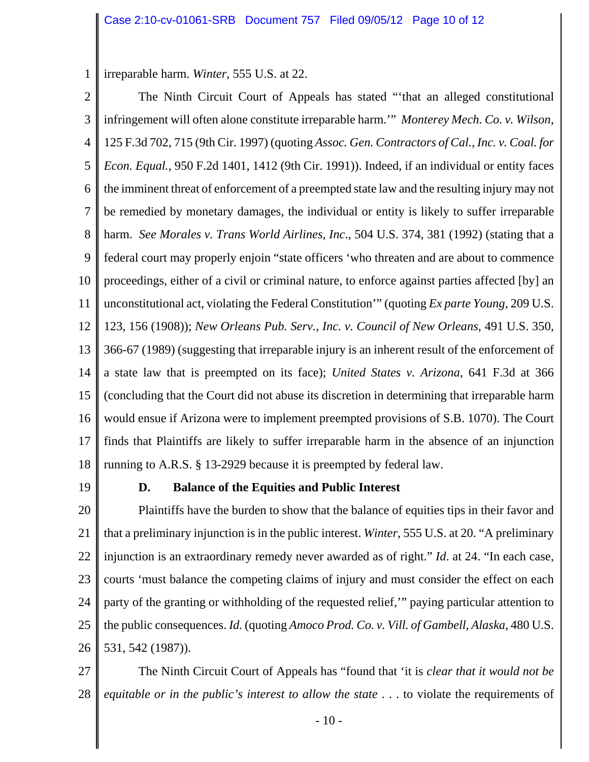1 irreparable harm. *Winter*, 555 U.S. at 22.

2 3 4 5 6 7 8 9 10 11 12 13 14 15 16 17 18 The Ninth Circuit Court of Appeals has stated "'that an alleged constitutional infringement will often alone constitute irreparable harm.'" *Monterey Mech. Co. v. Wilson*, 125 F.3d 702, 715 (9th Cir. 1997) (quoting *Assoc. Gen. Contractors of Cal., Inc. v. Coal. for Econ. Equal.*, 950 F.2d 1401, 1412 (9th Cir. 1991)). Indeed, if an individual or entity faces the imminent threat of enforcement of a preempted state law and the resulting injury may not be remedied by monetary damages, the individual or entity is likely to suffer irreparable harm. *See Morales v. Trans World Airlines, Inc*., 504 U.S. 374, 381 (1992) (stating that a federal court may properly enjoin "state officers 'who threaten and are about to commence proceedings, either of a civil or criminal nature, to enforce against parties affected [by] an unconstitutional act, violating the Federal Constitution'" (quoting *Ex parte Young*, 209 U.S. 123, 156 (1908)); *New Orleans Pub. Serv., Inc. v. Council of New Orleans*, 491 U.S. 350, 366-67 (1989) (suggesting that irreparable injury is an inherent result of the enforcement of a state law that is preempted on its face); *United States v. Arizona*, 641 F.3d at 366 (concluding that the Court did not abuse its discretion in determining that irreparable harm would ensue if Arizona were to implement preempted provisions of S.B. 1070). The Court finds that Plaintiffs are likely to suffer irreparable harm in the absence of an injunction running to A.R.S. § 13-2929 because it is preempted by federal law.

19

### **D. Balance of the Equities and Public Interest**

20 21 22 23 24 25 26 Plaintiffs have the burden to show that the balance of equities tips in their favor and that a preliminary injunction is in the public interest. *Winter*, 555 U.S. at 20. "A preliminary injunction is an extraordinary remedy never awarded as of right." *Id*. at 24. "In each case, courts 'must balance the competing claims of injury and must consider the effect on each party of the granting or withholding of the requested relief,'" paying particular attention to the public consequences. *Id.* (quoting *Amoco Prod. Co. v. Vill. of Gambell, Alaska*, 480 U.S. 531, 542 (1987)).

27 28 The Ninth Circuit Court of Appeals has "found that 'it is *clear that it would not be equitable or in the public's interest to allow the state* . . . to violate the requirements of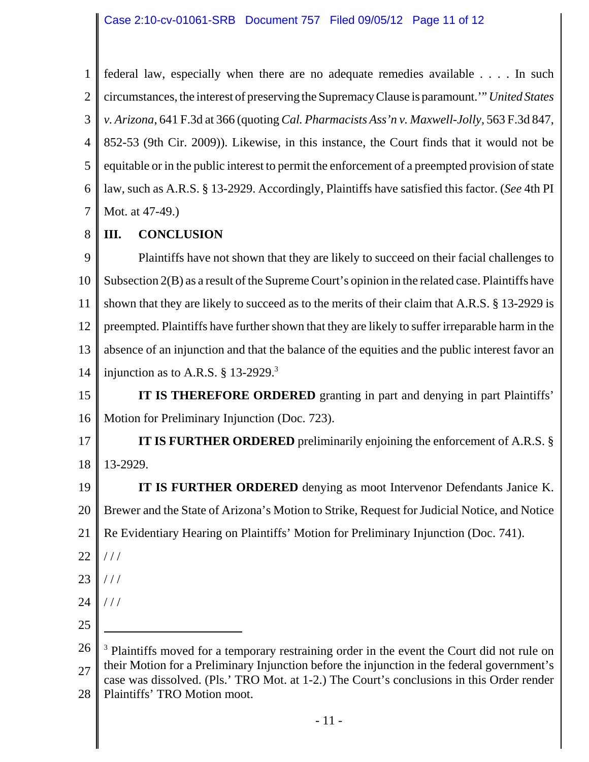1 2 3 4 5 6 7 federal law, especially when there are no adequate remedies available . . . . In such circumstances, the interest of preserving the Supremacy Clause is paramount.'" *United States v. Arizona*, 641 F.3d at 366 (quoting *Cal. Pharmacists Ass'n v. Maxwell-Jolly*, 563 F.3d 847, 852-53 (9th Cir. 2009)). Likewise, in this instance, the Court finds that it would not be equitable or in the public interest to permit the enforcement of a preempted provision of state law, such as A.R.S. § 13-2929. Accordingly, Plaintiffs have satisfied this factor. (*See* 4th PI Mot. at 47-49.)

#### 8 **III. CONCLUSION**

9 10 11 12 13 14 Plaintiffs have not shown that they are likely to succeed on their facial challenges to Subsection 2(B) as a result of the Supreme Court's opinion in the related case. Plaintiffs have shown that they are likely to succeed as to the merits of their claim that A.R.S. § 13-2929 is preempted. Plaintiffs have further shown that they are likely to suffer irreparable harm in the absence of an injunction and that the balance of the equities and the public interest favor an injunction as to A.R.S.  $\S$  13-2929.<sup>3</sup>

- 15 16 **IT IS THEREFORE ORDERED** granting in part and denying in part Plaintiffs' Motion for Preliminary Injunction (Doc. 723).
- 17 18 **IT IS FURTHER ORDERED** preliminarily enjoining the enforcement of A.R.S. § 13-2929.

19 20 21 **IT IS FURTHER ORDERED** denying as moot Intervenor Defendants Janice K. Brewer and the State of Arizona's Motion to Strike, Request for Judicial Notice, and Notice Re Evidentiary Hearing on Plaintiffs' Motion for Preliminary Injunction (Doc. 741).

- 22  $//$
- 23  $///$
- 24 / / /
- 25

<sup>26</sup> 27 28 <sup>3</sup> Plaintiffs moved for a temporary restraining order in the event the Court did not rule on their Motion for a Preliminary Injunction before the injunction in the federal government's case was dissolved. (Pls.' TRO Mot. at 1-2.) The Court's conclusions in this Order render Plaintiffs' TRO Motion moot.